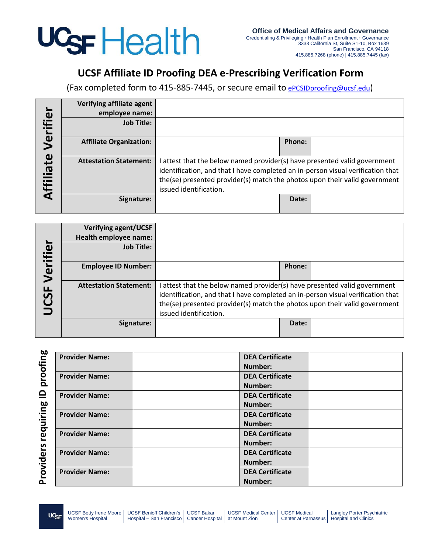

## **UCSF Affiliate ID Proofing DEA e-Prescribing Verification Form**

(Fax completed form to 415-885-7445, or secure email to [ePCSIDproofing@ucsf.edu](mailto:ePCSIDproofing@ucsf.edu))

| ▬         | Verifying affiliate agent<br>employee name: |                                                                                                                                                                                                                                                                    |               |  |
|-----------|---------------------------------------------|--------------------------------------------------------------------------------------------------------------------------------------------------------------------------------------------------------------------------------------------------------------------|---------------|--|
| Verifier  | <b>Job Title:</b>                           |                                                                                                                                                                                                                                                                    |               |  |
|           | <b>Affiliate Organization:</b>              |                                                                                                                                                                                                                                                                    | <b>Phone:</b> |  |
| Affiliate | <b>Attestation Statement:</b>               | attest that the below named provider(s) have presented valid government<br>identification, and that I have completed an in-person visual verification that<br>the(se) presented provider(s) match the photos upon their valid government<br>issued identification. |               |  |
|           | Signature:                                  |                                                                                                                                                                                                                                                                    | Date:         |  |

| Verifie    | <b>Verifying agent/UCSF</b><br>Health employee name: |                                                                                                                                                                                                                                                                      |        |  |
|------------|------------------------------------------------------|----------------------------------------------------------------------------------------------------------------------------------------------------------------------------------------------------------------------------------------------------------------------|--------|--|
|            | <b>Job Title:</b>                                    |                                                                                                                                                                                                                                                                      |        |  |
|            | <b>Employee ID Number:</b>                           |                                                                                                                                                                                                                                                                      | Phone: |  |
| <b>SSD</b> | <b>Attestation Statement:</b>                        | I attest that the below named provider(s) have presented valid government<br>identification, and that I have completed an in-person visual verification that<br>the(se) presented provider(s) match the photos upon their valid government<br>issued identification. |        |  |
|            | Signature:                                           |                                                                                                                                                                                                                                                                      | Date:  |  |

| <b>Provider Name:</b> | <b>DEA Certificate</b> |  |
|-----------------------|------------------------|--|
|                       | Number:                |  |
| <b>Provider Name:</b> | <b>DEA Certificate</b> |  |
|                       | Number:                |  |
| <b>Provider Name:</b> | <b>DEA Certificate</b> |  |
|                       | Number:                |  |
| <b>Provider Name:</b> | <b>DEA Certificate</b> |  |
|                       | Number:                |  |
| <b>Provider Name:</b> | <b>DEA Certificate</b> |  |
|                       | Number:                |  |
| <b>Provider Name:</b> | <b>DEA Certificate</b> |  |
|                       | Number:                |  |
| <b>Provider Name:</b> | <b>DEA Certificate</b> |  |
|                       | Number:                |  |